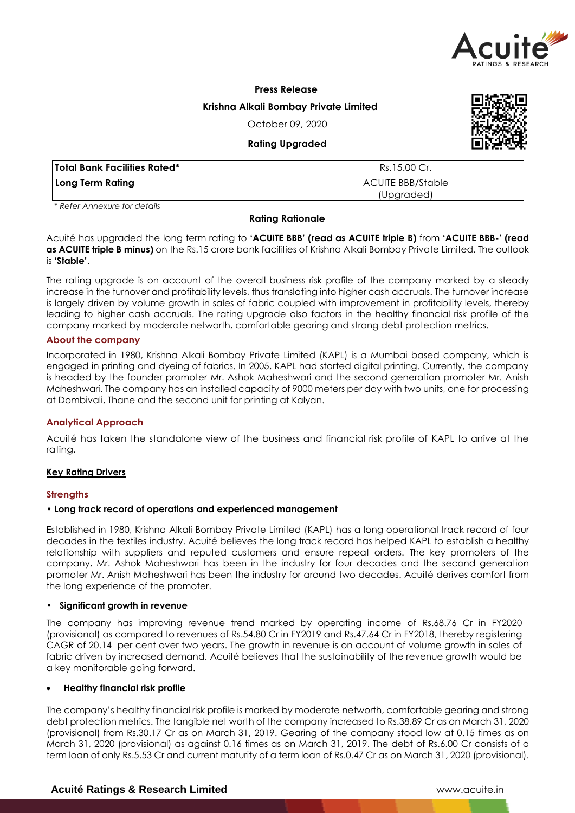

# **Press Release Krishna Alkali Bombay Private Limited**

October 09, 2020

# **Rating Upgraded**



| Total Bank Facilities Rated* | Rs.15.00 Cr.                           |  |  |
|------------------------------|----------------------------------------|--|--|
| Long Term Rating             | <b>ACUITE BBB/Stable</b><br>(Upgraded) |  |  |

*\* Refer Annexure for details*

### **Rating Rationale**

Acuité has upgraded the long term rating to **'ACUITE BBB' (read as ACUITE triple B)** from **'ACUITE BBB-' (read as ACUITE triple B minus)** on the Rs.15 crore bank facilities of Krishna Alkali Bombay Private Limited. The outlook is **'Stable'**.

The rating upgrade is on account of the overall business risk profile of the company marked by a steady increase in the turnover and profitability levels, thus translating into higher cash accruals. The turnover increase is largely driven by volume growth in sales of fabric coupled with improvement in profitability levels, thereby leading to higher cash accruals. The rating upgrade also factors in the healthy financial risk profile of the company marked by moderate networth, comfortable gearing and strong debt protection metrics.

# **About the company**

Incorporated in 1980, Krishna Alkali Bombay Private Limited (KAPL) is a Mumbai based company, which is engaged in printing and dyeing of fabrics. In 2005, KAPL had started digital printing. Currently, the company is headed by the founder promoter Mr. Ashok Maheshwari and the second generation promoter Mr. Anish Maheshwari. The company has an installed capacity of 9000 meters per day with two units, one for processing at Dombivali, Thane and the second unit for printing at Kalyan.

# **Analytical Approach**

Acuité has taken the standalone view of the business and financial risk profile of KAPL to arrive at the rating.

# **Key Rating Drivers**

# **Strengths**

### **• Long track record of operations and experienced management**

Established in 1980, Krishna Alkali Bombay Private Limited (KAPL) has a long operational track record of four decades in the textiles industry. Acuité believes the long track record has helped KAPL to establish a healthy relationship with suppliers and reputed customers and ensure repeat orders. The key promoters of the company, Mr. Ashok Maheshwari has been in the industry for four decades and the second generation promoter Mr. Anish Maheshwari has been the industry for around two decades. Acuité derives comfort from the long experience of the promoter.

### **• Significant growth in revenue**

The company has improving revenue trend marked by operating income of Rs.68.76 Cr in FY2020 (provisional) as compared to revenues of Rs.54.80 Cr in FY2019 and Rs.47.64 Cr in FY2018, thereby registering CAGR of 20.14 per cent over two years. The growth in revenue is on account of volume growth in sales of fabric driven by increased demand. Acuité believes that the sustainability of the revenue growth would be a key monitorable going forward.

### **Healthy financial risk profile**

The company's healthy financial risk profile is marked by moderate networth, comfortable gearing and strong debt protection metrics. The tangible net worth of the company increased to Rs.38.89 Cr as on March 31, 2020 (provisional) from Rs.30.17 Cr as on March 31, 2019. Gearing of the company stood low at 0.15 times as on March 31, 2020 (provisional) as against 0.16 times as on March 31, 2019. The debt of Rs.6.00 Cr consists of a term loan of only Rs.5.53 Cr and current maturity of a term loan of Rs.0.47 Cr as on March 31, 2020 (provisional).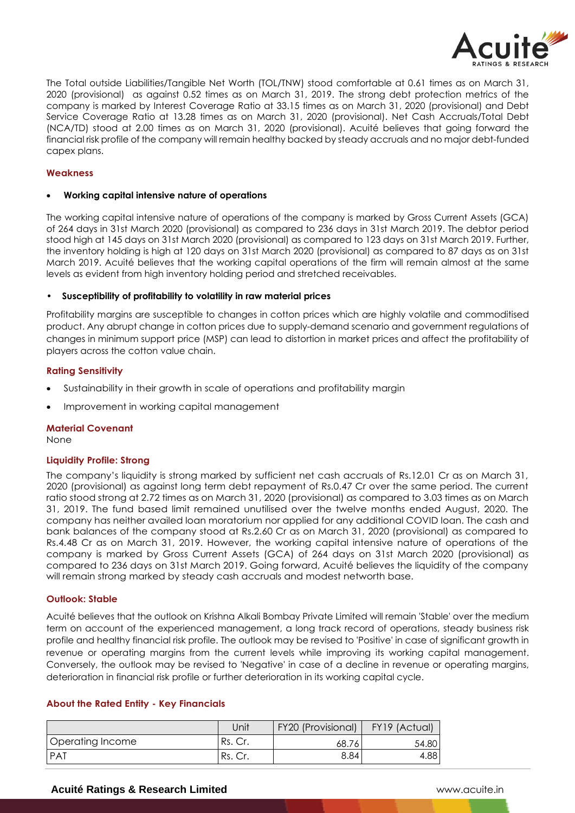

The Total outside Liabilities/Tangible Net Worth (TOL/TNW) stood comfortable at 0.61 times as on March 31, 2020 (provisional) as against 0.52 times as on March 31, 2019. The strong debt protection metrics of the company is marked by Interest Coverage Ratio at 33.15 times as on March 31, 2020 (provisional) and Debt Service Coverage Ratio at 13.28 times as on March 31, 2020 (provisional). Net Cash Accruals/Total Debt (NCA/TD) stood at 2.00 times as on March 31, 2020 (provisional). Acuité believes that going forward the financial risk profile of the company will remain healthy backed by steady accruals and no major debt-funded capex plans.

### **Weakness**

### **Working capital intensive nature of operations**

The working capital intensive nature of operations of the company is marked by Gross Current Assets (GCA) of 264 days in 31st March 2020 (provisional) as compared to 236 days in 31st March 2019. The debtor period stood high at 145 days on 31st March 2020 (provisional) as compared to 123 days on 31st March 2019. Further, the inventory holding is high at 120 days on 31st March 2020 (provisional) as compared to 87 days as on 31st March 2019. Acuité believes that the working capital operations of the firm will remain almost at the same levels as evident from high inventory holding period and stretched receivables.

### • **Susceptibility of profitability to volatility in raw material prices**

Profitability margins are susceptible to changes in cotton prices which are highly volatile and commoditised product. Any abrupt change in cotton prices due to supply-demand scenario and government regulations of changes in minimum support price (MSP) can lead to distortion in market prices and affect the profitability of players across the cotton value chain.

# **Rating Sensitivity**

- Sustainability in their growth in scale of operations and profitability margin
- Improvement in working capital management

### **Material Covenant**

None

# **Liquidity Profile: Strong**

The company's liquidity is strong marked by sufficient net cash accruals of Rs.12.01 Cr as on March 31, 2020 (provisional) as against long term debt repayment of Rs.0.47 Cr over the same period. The current ratio stood strong at 2.72 times as on March 31, 2020 (provisional) as compared to 3.03 times as on March 31, 2019. The fund based limit remained unutilised over the twelve months ended August, 2020. The company has neither availed loan moratorium nor applied for any additional COVID loan. The cash and bank balances of the company stood at Rs.2.60 Cr as on March 31, 2020 (provisional) as compared to Rs.4.48 Cr as on March 31, 2019. However, the working capital intensive nature of operations of the company is marked by Gross Current Assets (GCA) of 264 days on 31st March 2020 (provisional) as compared to 236 days on 31st March 2019. Going forward, Acuité believes the liquidity of the company will remain strong marked by steady cash accruals and modest networth base.

### **Outlook: Stable**

Acuité believes that the outlook on Krishna Alkali Bombay Private Limited will remain 'Stable' over the medium term on account of the experienced management, a long track record of operations, steady business risk profile and healthy financial risk profile. The outlook may be revised to 'Positive' in case of significant growth in revenue or operating margins from the current levels while improving its working capital management. Conversely, the outlook may be revised to 'Negative' in case of a decline in revenue or operating margins, deterioration in financial risk profile or further deterioration in its working capital cycle.

# **About the Rated Entity - Key Financials**

|                  | Jnit    | <b>FY20 (Provisional)</b> | FY19 (Actual) |
|------------------|---------|---------------------------|---------------|
| Operating Income | Rs. Cr. | 68.76                     | 54.80         |
| <b>PAT</b>       | Rs. Cr. | 8.84                      | 4.881         |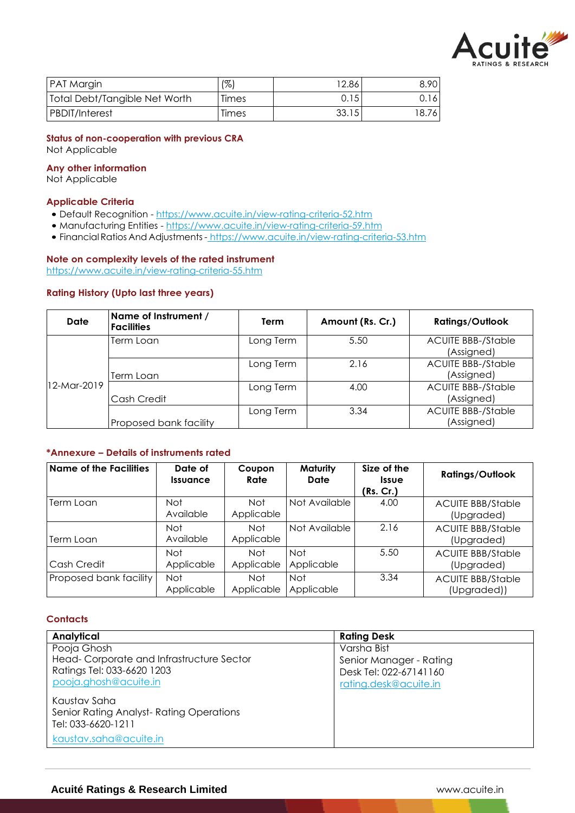

| <b>PAT Margin</b>             | $\frac{1}{2}$ | 12.86 | 8.90  |
|-------------------------------|---------------|-------|-------|
| Total Debt/Tangible Net Worth | Times         | 0.15  | 0.16  |
| <b>PBDIT/Interest</b>         | Times         | 33.15 | 18.76 |

### **Status of non-cooperation with previous CRA** Not Applicable

**Any other information**

Not Applicable

# **Applicable Criteria**

- Default Recognition https://www.acuite.in/view-rating-criteria-52.htm
- Manufacturing Entities https://www.acuite.in/view-rating-criteria-59.htm
- Financial Ratios And Adjustments- https://www.acuite.in/view-rating-criteria-53.htm

# **Note on complexity levels of the rated instrument**

https://www.acuite.in/view-rating-criteria-55.htm

# **Rating History (Upto last three years)**

| Date        | Name of Instrument /<br><b>Facilities</b> | Term      | Amount (Rs. Cr.) | <b>Ratings/Outlook</b>                  |
|-------------|-------------------------------------------|-----------|------------------|-----------------------------------------|
|             | Term Loan                                 | Long Term | 5.50             | <b>ACUITE BBB-/Stable</b><br>(Assigned) |
|             | Term Loan                                 | Long Term | 2.16             | <b>ACUITE BBB-/Stable</b><br>(Assigned) |
| 12-Mar-2019 | Cash Credit                               | Long Term | 4.00             | <b>ACUITE BBB-/Stable</b><br>(Assigned) |
|             | Proposed bank facility                    | Long Term | 3.34             | <b>ACUITE BBB-/Stable</b><br>(Assigned) |

# **\*Annexure – Details of instruments rated**

| <b>Name of the Facilities</b> | Date of<br><b>Issuance</b> | Coupon<br>Rate           | Maturity<br>Date         | Size of the<br><b>Issue</b><br>(Rs. Cr.) | <b>Ratings/Outlook</b>                  |
|-------------------------------|----------------------------|--------------------------|--------------------------|------------------------------------------|-----------------------------------------|
| Term Loan                     | Not.<br>Available          | <b>Not</b><br>Applicable | Not Available            | 4.00                                     | <b>ACUITE BBB/Stable</b><br>(Upgraded)  |
| Term Loan                     | Not<br>Available           | Not<br>Applicable        | Not Available            | 2.16                                     | <b>ACUITE BBB/Stable</b><br>(Upgraded)  |
| Cash Credit                   | Not.<br>Applicable         | <b>Not</b><br>Applicable | <b>Not</b><br>Applicable | 5.50                                     | <b>ACUITE BBB/Stable</b><br>(Upgraded)  |
| Proposed bank facility        | Not<br>Applicable          | <b>Not</b><br>Applicable | <b>Not</b><br>Applicable | 3.34                                     | <b>ACUITE BBB/Stable</b><br>(Upgraded)) |

# **Contacts**

| Analytical                               | <b>Rating Desk</b>      |
|------------------------------------------|-------------------------|
| Pooja Ghosh                              | Varsha Bist             |
| Head-Corporate and Infrastructure Sector | Senior Manager - Rating |
| Ratings Tel: 033-6620 1203               | Desk Tel: 022-67141160  |
| pooja.ghosh@acuite.in                    | rating.desk@acuite.in   |
| Kaustav Saha                             |                         |
| Senior Rating Analyst-Rating Operations  |                         |
| Tel: 033-6620-1211                       |                         |
| kaustav.saha@acuite.in                   |                         |